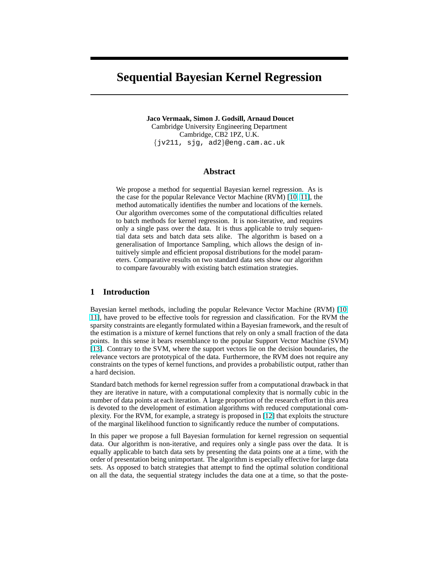# **Sequential Bayesian Kernel Regression**

**Jaco Vermaak, Simon J. Godsill, Arnaud Doucet** Cambridge University Engineering Department Cambridge, CB2 1PZ, U.K. {jv211, sjg, ad2}@eng.cam.ac.uk

## **Abstract**

We propose a method for sequential Bayesian kernel regression. As is the case for the popular Relevance Vector Machine (RVM) [\[10,](#page-7-0) [11\]](#page-7-0), the method automatically identifies the number and locations of the kernels. Our algorithm overcomes some of the computational difficulties related to batch methods for kernel regression. It is non-iterative, and requires only a single pass over the data. It is thus applicable to truly sequential data sets and batch data sets alike. The algorithm is based on a generalisation of Importance Sampling, which allows the design of intuitively simple and efficient proposal distributions for the model parameters. Comparative results on two standard data sets show our algorithm to compare favourably with existing batch estimation strategies.

## **1 Introduction**

Bayesian kernel methods, including the popular Relevance Vector Machine (RVM) [\[10,](#page-7-0) [11\]](#page-7-0), have proved to be effective tools for regression and classification. For the RVM the sparsity constraints are elegantly formulated within a Bayesian framework, and the result of the estimation is a mixture of kernel functions that rely on only a small fraction of the data points. In this sense it bears resemblance to the popular Support Vector Machine (SVM) [\[13\]](#page-7-0). Contrary to the SVM, where the support vectors lie on the decision boundaries, the relevance vectors are prototypical of the data. Furthermore, the RVM does not require any constraints on the types of kernel functions, and provides a probabilistic output, rather than a hard decision.

Standard batch methods for kernel regression suffer from a computational drawback in that they are iterative in nature, with a computational complexity that is normally cubic in the number of data points at each iteration. A large proportion of the research effort in this area is devoted to the development of estimation algorithms with reduced computational complexity. For the RVM, for example, a strategy is proposed in [\[12\]](#page-7-0) that exploits the structure of the marginal likelihood function to significantly reduce the number of computations.

In this paper we propose a full Bayesian formulation for kernel regression on sequential data. Our algorithm is non-iterative, and requires only a single pass over the data. It is equally applicable to batch data sets by presenting the data points one at a time, with the order of presentation being unimportant. The algorithm is especially effective for large data sets. As opposed to batch strategies that attempt to find the optimal solution conditional on all the data, the sequential strategy includes the data one at a time, so that the poste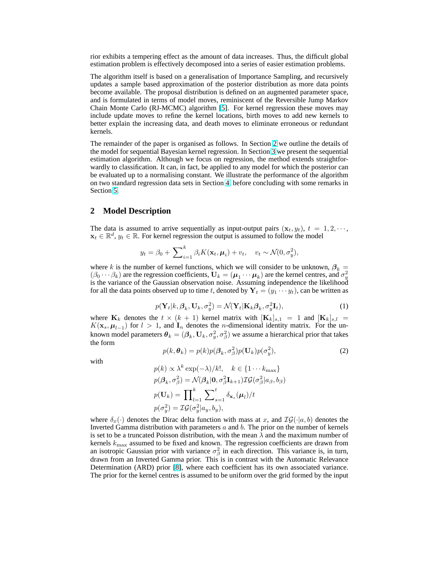<span id="page-1-0"></span>rior exhibits a tempering effect as the amount of data increases. Thus, the difficult global estimation problem is effectively decomposed into a series of easier estimation problems.

The algorithm itself is based on a generalisation of Importance Sampling, and recursively updates a sample based approximation of the posterior distribution as more data points become available. The proposal distribution is defined on an augmented parameter space, and is formulated in terms of model moves, reminiscent of the Reversible Jump Markov Chain Monte Carlo (RJ-MCMC) algorithm [\[5\]](#page-7-0). For kernel regression these moves may include update moves to refine the kernel locations, birth moves to add new kernels to better explain the increasing data, and death moves to eliminate erroneous or redundant kernels.

The remainder of the paper is organised as follows. In Section 2 we outline the details of the model for sequential Bayesian kernel regression. In Section [3](#page-2-0) we present the sequential estimation algorithm. Although we focus on regression, the method extends straightforwardly to classification. It can, in fact, be applied to any model for which the posterior can be evaluated up to a normalising constant. We illustrate the performance of the algorithm on two standard regression data sets in Section [4,](#page-5-0) before concluding with some remarks in Section [5.](#page-6-0)

## **2 Model Description**

The data is assumed to arrive sequentially as input-output pairs  $(\mathbf{x}_t, y_t)$ ,  $t = 1, 2, \dots$ ,  $\mathbf{x}_t \in \mathbb{R}^d$ ,  $y_t \in \mathbb{R}$ . For kernel regression the output is assumed to follow the model

$$
y_t = \beta_0 + \sum_{i=1}^k \beta_i K(\mathbf{x}_t, \boldsymbol{\mu}_i) + v_t, \quad v_t \sim \mathcal{N}(0, \sigma_y^2),
$$

where k is the number of kernel functions, which we will consider to be unknown,  $\beta_k =$  $(\beta_0 \cdots \beta_k)$  are the regression coefficients,  $U_k = (\mu_1 \cdots \mu_k)$  are the kernel centres, and  $\sigma_y^2$  is the variance of the Gaussian observation noise. Assuming independence the likelihood for all the data points observed up to time t, denoted by  $\mathbf{Y}_t = (y_1 \cdots y_t)$ , can be written as

$$
p(\mathbf{Y}_t|k, \beta_k, \mathbf{U}_k, \sigma_y^2) = \mathcal{N}(\mathbf{Y}_t|\mathbf{K}_k \beta_k, \sigma_y^2 \mathbf{I}_t),
$$
\n(1)

where  $\mathbf{K}_k$  denotes the  $t \times (k+1)$  kernel matrix with  $[\mathbf{K}_k]_{s,1} = 1$  and  $[\mathbf{K}_k]_{s,l} =$  $K(\mathbf{x}_s, \boldsymbol{\mu}_{l-1})$  for  $l > 1$ , and  $\mathbf{I}_n$  denotes the *n*-dimensional identity matrix. For the unknown model parameters  $\bm{\theta}_k=(\bm{\beta}_k,\textbf{U}_k,\sigma_y^2,\sigma_\beta^2)$  we assume a hierarchical prior that takes the form

$$
p(k, \theta_k) = p(k)p(\beta_k, \sigma_\beta^2)p(\mathbf{U}_k)p(\sigma_y^2),
$$
\n(2)

with

$$
p(k) \propto \lambda^k \exp(-\lambda)/k!, \quad k \in \{1 \cdots k_{\text{max}}\}
$$
  
\n
$$
p(\beta_k, \sigma_\beta^2) = \mathcal{N}(\beta_k | \mathbf{0}, \sigma_\beta^2 \mathbf{I}_{k+1}) \mathcal{IG}(\sigma_\beta^2 | a_\beta, b_\beta)
$$
  
\n
$$
p(\mathbf{U}_k) = \prod_{l=1}^k \sum_{s=1}^t \delta_{\mathbf{x}_s}(\boldsymbol{\mu}_l)/t
$$
  
\n
$$
p(\sigma_y^2) = \mathcal{IG}(\sigma_y^2 | a_y, b_y),
$$

where  $\delta_x(\cdot)$  denotes the Dirac delta function with mass at x, and  $\mathcal{IG}(\cdot|a, b)$  denotes the Inverted Gamma distribution with parameters  $a$  and  $b$ . The prior on the number of kernels is set to be a truncated Poisson distribution, with the mean  $\lambda$  and the maximum number of kernels  $k_{\text{max}}$  assumed to be fixed and known. The regression coefficients are drawn from an isotropic Gaussian prior with variance  $\sigma_{\beta}^2$  in each direction. This variance is, in turn, drawn from an Inverted Gamma prior. This is in contrast with the Automatic Relevance Determination (ARD) prior [\[8\]](#page-7-0), where each coefficient has its own associated variance. The prior for the kernel centres is assumed to be uniform over the grid formed by the input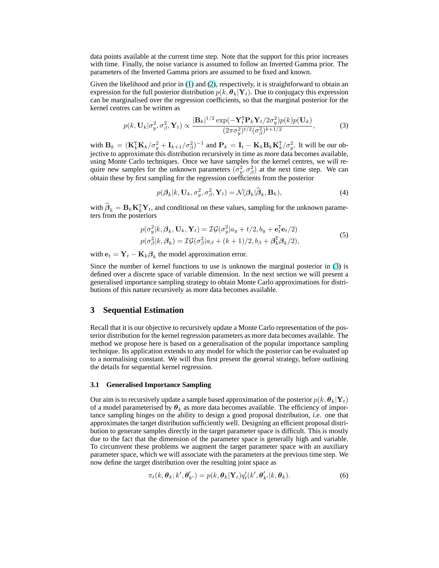<span id="page-2-0"></span>data points available at the current time step. Note that the support for this prior increases with time. Finally, the noise variance is assumed to follow an Inverted Gamma prior. The parameters of the Inverted Gamma priors are assumed to be fixed and known.

Given the likelihood and prior in [\(1\)](#page-1-0) and [\(2\)](#page-1-0), respectively, it is straightforward to obtain an expression for the full posterior distribution  $p(k, \theta_k | Y_t)$ . Due to conjugacy this expression can be marginalised over the regression coefficients, so that the marginal posterior for the kernel centres can be written as

$$
p(k, \mathbf{U}_k | \sigma_y^2, \sigma_\beta^2, \mathbf{Y}_t) \propto \frac{|\mathbf{B}_k|^{1/2} \exp(-\mathbf{Y}_t^{\mathsf{T}} \mathbf{P}_k \mathbf{Y}_t / 2\sigma_y^2) p(k) p(\mathbf{U}_k)}{(2\pi\sigma_y^2)^{t/2} (\sigma_\beta^2)^{k+1/2}},
$$
(3)

with  $\mathbf{B}_k = (\mathbf{K}_k^{\text{T}} \mathbf{K}_k / \sigma_y^2 + \mathbf{I}_{k+1} / \sigma_\beta^2)^{-1}$  and  $\mathbf{P}_k = \mathbf{I}_t - \mathbf{K}_k \mathbf{B}_k \mathbf{K}_k^{\text{T}} / \sigma_y^2$ . It will be our objective to approximate this distribution recursively in time as more data becomes available, using Monte Carlo techniques. Once we have samples for the kernel centres, we will require new samples for the unknown parameters  $(\sigma_y^2, \sigma_\beta^2)$  at the next time step. We can obtain these by first sampling for the regression coefficients from the posterior

$$
p(\boldsymbol{\beta}_k|k, \mathbf{U}_k, \sigma_y^2, \sigma_\beta^2, \mathbf{Y}_t) = \mathcal{N}(\boldsymbol{\beta}_k|\widehat{\boldsymbol{\beta}}_k, \mathbf{B}_k),
$$
\n(4)

with  $\widehat{\beta}_k = \mathbf{B}_k \mathbf{K}_k^{\mathrm{T}} \mathbf{Y}_t$ , and conditional on these values, sampling for the unknown parameters from the posteriors

$$
p(\sigma_y^2|k, \beta_k, \mathbf{U}_k, \mathbf{Y}_t) = \mathcal{IG}(\sigma_y^2|a_y + t/2, b_y + \mathbf{e}_t^{\mathsf{T}} \mathbf{e}_t/2)
$$
  
\n
$$
p(\sigma_\beta^2|k, \beta_k) = \mathcal{IG}(\sigma_\beta^2|a_\beta + (k+1)/2, b_\beta + \beta_k^{\mathsf{T}} \beta_k/2),
$$
\n(5)

with  $\mathbf{e}_t = \mathbf{Y}_t - \mathbf{K}_k \boldsymbol{\beta}_k$  the model approximation error.

Since the number of kernel functions to use is unknown the marginal posterior in (3) is defined over a discrete space of variable dimension. In the next section we will present a generalised importance sampling strategy to obtain Monte Carlo approximations for distributions of this nature recursively as more data becomes available.

## **3 Sequential Estimation**

Recall that it is our objective to recursively update a Monte Carlo representation of the posterior distribution for the kernel regression parameters as more data becomes available. The method we propose here is based on a generalisation of the popular importance sampling technique. Its application extends to any model for which the posterior can be evaluated up to a normalising constant. We will thus first present the general strategy, before outlining the details for sequential kernel regression.

#### **3.1 Generalised Importance Sampling**

Our aim is to recursively update a sample based approximation of the posterior  $p(k, \theta_k|Y_t)$ of a model parameterised by  $\theta_k$  as more data becomes available. The efficiency of importance sampling hinges on the ability to design a good proposal distribution, *i.e*. one that approximates the target distribution sufficiently well. Designing an efficient proposal distribution to generate samples directly in the target parameter space is difficult. This is mostly due to the fact that the dimension of the parameter space is generally high and variable. To circumvent these problems we augment the target parameter space with an auxiliary parameter space, which we will associate with the parameters at the previous time step. We now define the target distribution over the resulting joint space as

$$
\pi_t(k, \boldsymbol{\theta}_k; k', \boldsymbol{\theta}'_{k'}) = p(k, \boldsymbol{\theta}_k | \mathbf{Y}_t) q'_t(k', \boldsymbol{\theta}'_{k'} | k, \boldsymbol{\theta}_k).
$$
\n(6)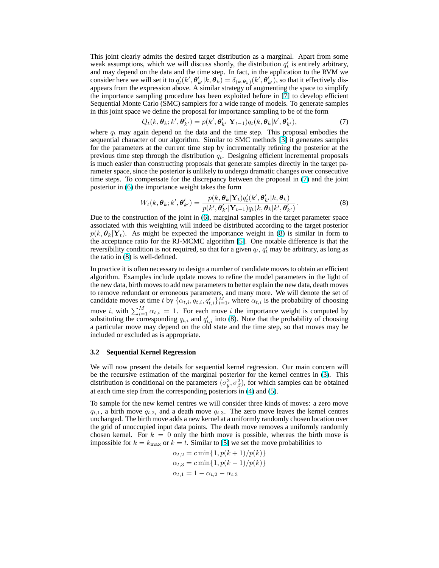<span id="page-3-0"></span>This joint clearly admits the desired target distribution as a marginal. Apart from some weak assumptions, which we will discuss shortly, the distribution  $q'_t$  is entirely arbitrary, and may depend on the data and the time step. In fact, in the application to the RVM we consider here we will set it to  $q'_t(k', \theta'_{k'}|k, \theta_k) = \delta_{(k, \theta_k)}(k', \theta'_{k'})$ , so that it effectively disappears from the expression above. A similar strategy of augmenting the space to simplify the importance sampling procedure has been exploited before in [\[7\]](#page-7-0) to develop efficient Sequential Monte Carlo (SMC) samplers for a wide range of models. To generate samples in this joint space we define the proposal for importance sampling to be of the form

$$
Q_t(k, \boldsymbol{\theta}_k; k', \boldsymbol{\theta}'_{k'}) = p(k', \boldsymbol{\theta}'_{k'} | \mathbf{Y}_{t-1}) q_t(k, \boldsymbol{\theta}_k | k', \boldsymbol{\theta}'_{k'}),
$$
\n(7)

where  $q_t$  may again depend on the data and the time step. This proposal embodies the sequential character of our algorithm. Similar to SMC methods [\[3\]](#page-7-0) it generates samples for the parameters at the current time step by incrementally refining the posterior at the previous time step through the distribution  $q_t$ . Designing efficient incremental proposals is much easier than constructing proposals that generate samples directly in the target parameter space, since the posterior is unlikely to undergo dramatic changes over consecutive time steps. To compensate for the discrepancy between the proposal in (7) and the joint posterior in [\(6\)](#page-2-0) the importance weight takes the form

$$
W_t(k, \boldsymbol{\theta}_k; k', \boldsymbol{\theta}'_{k'}) = \frac{p(k, \boldsymbol{\theta}_k | \mathbf{Y}_t) q_t'(k', \boldsymbol{\theta}'_{k'} | k, \boldsymbol{\theta}_k)}{p(k', \boldsymbol{\theta}'_{k'} | \mathbf{Y}_{t-1}) q_t(k, \boldsymbol{\theta}_k | k', \boldsymbol{\theta}'_{k'})}.
$$
(8)

Due to the construction of the joint in [\(6\)](#page-2-0), marginal samples in the target parameter space associated with this weighting will indeed be distributed according to the target posterior  $p(k, \theta_k|Y_t)$ . As might be expected the importance weight in (8) is similar in form to the acceptance ratio for the RJ-MCMC algorithm [\[5\]](#page-7-0). One notable difference is that the reversibility condition is not required, so that for a given  $q_t$ ,  $q'_t$  may be arbitrary, as long as the ratio in (8) is well-defined.

In practice it is often necessary to design a number of candidate moves to obtain an efficient algorithm. Examples include update moves to refine the model parameters in the light of the new data, birth moves to add new parameters to better explain the new data, death moves to remove redundant or erroneous parameters, and many more. We will denote the set of candidate moves at time t by  $\{\alpha_{t,i}, q_{t,i}, q_{t,i}'\}_{i=1}^M$ , where  $\alpha_{t,i}$  is the probability of choosing move i, with  $\sum_{i=1}^{M} \alpha_{t,i} = 1$ . For each move i the importance weight is computed by substituting the corresponding  $q_{t,i}$  and  $q'_{t,i}$  into (8). Note that the probability of choosing a particular move may depend on the old state and the time step, so that moves may be included or excluded as is appropriate.

#### **3.2 Sequential Kernel Regression**

We will now present the details for sequential kernel regression. Our main concern will be the recursive estimation of the marginal posterior for the kernel centres in [\(3\)](#page-2-0). This distribution is conditional on the parameters  $(\sigma_y^2, \sigma_\beta^2)$ , for which samples can be obtained at each time step from the corresponding posteriors in [\(4\)](#page-2-0) and [\(5\)](#page-2-0).

To sample for the new kernel centres we will consider three kinds of moves: a zero move  $q_{t,1}$ , a birth move  $q_{t,2}$ , and a death move  $q_{t,3}$ . The zero move leaves the kernel centres unchanged. The birth move adds a new kernel at a uniformly randomly chosen location over the grid of unoccupied input data points. The death move removes a uniformly randomly chosen kernel. For  $k = 0$  only the birth move is possible, whereas the birth move is impossible for  $k = k_{\text{max}}$  or  $k = t$ . Similar to [\[5\]](#page-7-0) we set the move probabilities to

$$
\alpha_{t,2} = c \min\{1, p(k+1)/p(k)\}
$$
  
\n
$$
\alpha_{t,3} = c \min\{1, p(k-1)/p(k)\}
$$
  
\n
$$
\alpha_{t,1} = 1 - \alpha_{t,2} - \alpha_{t,3}
$$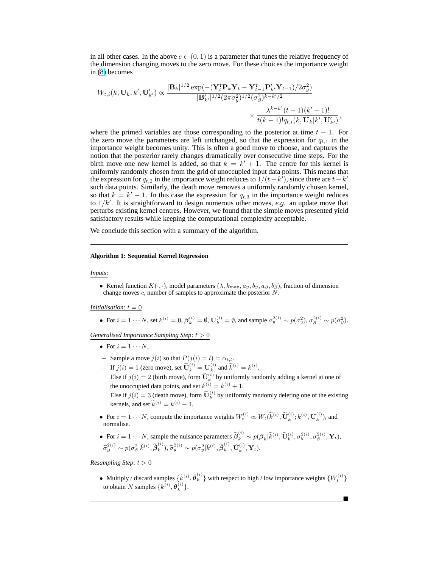in all other cases. In the above  $c \in (0, 1)$  is a parameter that tunes the relative frequency of the dimension changing moves to the zero move. For these choices the importance weight in [\(8\)](#page-3-0) becomes

$$
W_{t,i}(k, \mathbf{U}_k; k', \mathbf{U}'_{k'}) \propto \frac{|\mathbf{B}_k|^{1/2} \exp(-( \mathbf{Y}_t^{\mathrm{T}} \mathbf{P}_k \mathbf{Y}_t - \mathbf{Y}_{t-1}^{\mathrm{T}} \mathbf{P}_{k'}' \mathbf{Y}_{t-1})/2 \sigma_y^2)}{|\mathbf{B}_{k'}'|^{1/2} (2\pi \sigma_y^2)^{1/2} (\sigma_\beta^2)^{k-k'/2}} \times \frac{\lambda^{k-k'}(t-1)(k'-1)!}{t(k-1)!q_{t,i}(k, \mathbf{U}_k|k', \mathbf{U}'_{k'})},
$$

where the primed variables are those corresponding to the posterior at time  $t - 1$ . For the zero move the parameters are left unchanged, so that the expression for  $q_{t,1}$  in the importance weight becomes unity. This is often a good move to choose, and captures the notion that the posterior rarely changes dramatically over consecutive time steps. For the birth move one new kernel is added, so that  $k = k' + 1$ . The centre for this kernel is uniformly randomly chosen from the grid of unoccupied input data points. This means that the expression for  $q_{t,2}$  in the importance weight reduces to  $1/(t-k<sup>7</sup>)$ , since there are  $t-k'$ such data points. Similarly, the death move removes a uniformly randomly chosen kernel, so that  $k = k' - 1$ . In this case the expression for  $q_{t,3}$  in the importance weight reduces to  $1/k'$ . It is straightforward to design numerous other moves, *e.g.* an update move that perturbs existing kernel centres. However, we found that the simple moves presented yield satisfactory results while keeping the computational complexity acceptable.

We conclude this section with a summary of the algorithm.

#### **Algorithm 1: Sequential Kernel Regression**

#### *Inputs*:

• Kernel function  $K(\cdot, \cdot)$ , model parameters  $(\lambda, k_{\max}, a_{u}, b_{u}, a_{\beta}, b_{\beta})$ , fraction of dimension change moves c, number of samples to approximate the posterior N.

## *Initialisation*:  $t = 0$

• For  $i = 1 \cdots N$ , set  $k^{(i)} = 0$ ,  $\beta_k^{(i)} = \emptyset$ ,  $\mathbf{U}_k^{(i)} = \emptyset$ , and sample  $\sigma_y^{2(i)} \sim p(\sigma_y^2)$ ,  $\sigma_\beta^{2(i)} \sim p(\sigma_y^2)$ .

*Generalised Importance Sampling Step*: t > 0

- For  $i = 1 \cdots N$ .
- − Sample a move  $j(i)$  so that  $P(j(i) = l) = \alpha_{t,l}$ .
- $-$  If  $j(i) = 1$  (zero move), set  $\widetilde{\mathbf{U}}_k^{(i)} = \mathbf{U}_k^{(i)}$  and  $\widetilde{k}^{(i)} = k^{(i)}$ .
	- Else if  $j(i) = 2$  (birth move), form  $\widetilde{\mathbf{U}}_k^{(i)}$  by uniformly randomly adding a kernel at one of the unoccupied data points, and set  $\widetilde{k}^{(i)} = k^{(i)} + 1$ .

Else if  $j(i) = 3$  (death move), form  $\tilde{\mathbf{U}}_k^{(i)}$  by uniformly randomly deleting one of the existing kernels, and set  $\widetilde{k}^{(i)} = k^{(i)} - 1$ .

• For  $i = 1 \cdots N$ , compute the importance weights  $W_t^{(i)} \propto W_t(\tilde{k}^{(i)}, \tilde{\mathbf{U}}_k^{(i)}; k^{(i)}, \mathbf{U}_k^{(i)})$ , and normalise.

• For 
$$
i = 1 \cdots N
$$
, sample the nuisance parameters  $\widetilde{\boldsymbol{\beta}}_k^{(i)} \sim p(\boldsymbol{\beta}_k | \widetilde{k}^{(i)}, \widetilde{\mathbf{U}}_k^{(i)}, \sigma_y^{2(i)}, \sigma_\beta^{2(i)}, \mathbf{Y}_t)$ ,  $\widetilde{\sigma}_{\beta}^{2(i)} \sim p(\sigma_{\beta}^2 | \widetilde{k}^{(i)}, \widetilde{\boldsymbol{\beta}}_k^{(i)}, \widetilde{\sigma}_y^{2(i)}, \widetilde{\boldsymbol{\rho}}_y^{(i)}, \widetilde{\mathbf{U}}_k^{(i)}, \widetilde{\mathbf{U}}_k^{(i)}, \mathbf{Y}_t)$ .

*Resampling Step*:  $t > 0$ 

• Multiply / discard samples  $\{\widetilde{k}^{(i)}, \widetilde{\theta}_k^{(i)}\}$  with respect to high / low importance weights  $\{W_t^{(i)}\}$ to obtain N samples  $\{k^{(i)}, \theta_k^{(i)}\}.$ 

¥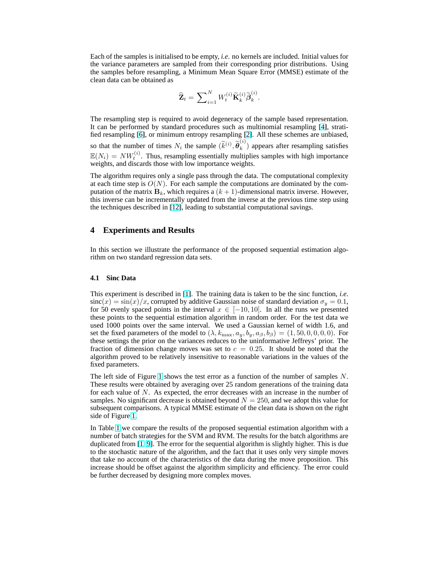<span id="page-5-0"></span>Each of the samples is initialised to be empty, *i.e*. no kernels are included. Initial values for the variance parameters are sampled from their corresponding prior distributions. Using the samples before resampling, a Minimum Mean Square Error (MMSE) estimate of the clean data can be obtained as

$$
\widehat{\mathbf{Z}}_t = \sum\nolimits_{i=1}^N W_t^{(i)} \widetilde{\mathbf{K}}_k^{(i)} \widetilde{\boldsymbol{\beta}}_k^{(i)}.
$$

The resampling step is required to avoid degeneracy of the sample based representation. It can be performed by standard procedures such as multinomial resampling [\[4\]](#page-7-0), stratified resampling [\[6\]](#page-7-0), or minimum entropy resampling [\[2\]](#page-7-0). All these schemes are unbiased, so that the number of times  $N_i$  the sample  $(\widetilde{k}^{(i)}, \widetilde{\theta}_k^{(i)})$  $\binom{10}{k}$  appears after resampling satisfies  $\mathbb{E}(N_i) = NW_t^{(i)}$ . Thus, resampling essentially multiplies samples with high importance weights, and discards those with low importance weights.

The algorithm requires only a single pass through the data. The computational complexity at each time step is  $O(N)$ . For each sample the computations are dominated by the computation of the matrix  $\mathbf{B}_k$ , which requires a  $(k + 1)$ -dimensional matrix inverse. However, this inverse can be incrementally updated from the inverse at the previous time step using the techniques described in [\[12\]](#page-7-0), leading to substantial computational savings.

## **4 Experiments and Results**

In this section we illustrate the performance of the proposed sequential estimation algorithm on two standard regression data sets.

#### **4.1 Sinc Data**

This experiment is described in [\[1\]](#page-7-0). The training data is taken to be the sinc function, *i.e*.  $sinc(x) = sin(x)/x$ , corrupted by additive Gaussian noise of standard deviation  $\sigma_y = 0.1$ , for 50 evenly spaced points in the interval  $x \in [-10, 10]$ . In all the runs we presented these points to the sequential estimation algorithm in random order. For the test data we used 1000 points over the same interval. We used a Gaussian kernel of width 1.6, and set the fixed parameters of the model to  $(\lambda, k_{\text{max}}, a_y, b_y, a_\beta, b_\beta) = (1, 50, 0, 0, 0, 0)$ . For these settings the prior on the variances reduces to the uninformative Jeffreys' prior. The fraction of dimension change moves was set to  $c = 0.25$ . It should be noted that the algorithm proved to be relatively insensitive to reasonable variations in the values of the fixed parameters.

The left side of Figure [1](#page-6-0) shows the test error as a function of the number of samples  $N$ . These results were obtained by averaging over 25 random generations of the training data for each value of  $N$ . As expected, the error decreases with an increase in the number of samples. No significant decrease is obtained beyond  $N = 250$ , and we adopt this value for subsequent comparisons. A typical MMSE estimate of the clean data is shown on the right side of Figure [1.](#page-6-0)

In Table [1](#page-6-0) we compare the results of the proposed sequential estimation algorithm with a number of batch strategies for the SVM and RVM. The results for the batch algorithms are duplicated from [\[1,](#page-7-0) [9\]](#page-7-0). The error for the sequential algorithm is slightly higher. This is due to the stochastic nature of the algorithm, and the fact that it uses only very simple moves that take no account of the characteristics of the data during the move proposition. This increase should be offset against the algorithm simplicity and efficiency. The error could be further decreased by designing more complex moves.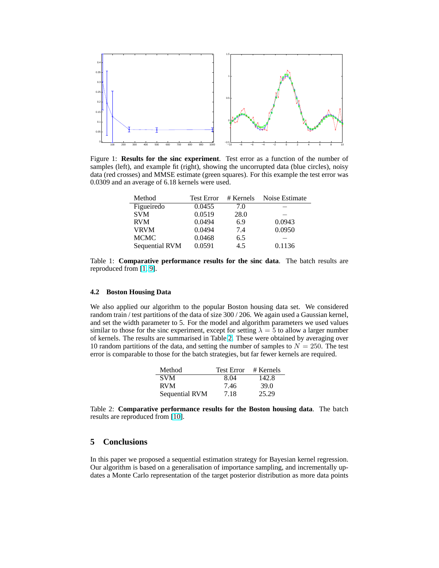<span id="page-6-0"></span>

Figure 1: **Results for the sinc experiment**. Test error as a function of the number of samples (left), and example fit (right), showing the uncorrupted data (blue circles), noisy data (red crosses) and MMSE estimate (green squares). For this example the test error was 0.0309 and an average of 6.18 kernels were used.

| Method         | <b>Test Error</b> | # Kernels | Noise Estimate |
|----------------|-------------------|-----------|----------------|
| Figueiredo     | 0.0455            | 7.0       |                |
| <b>SVM</b>     | 0.0519            | 28.0      |                |
| <b>RVM</b>     | 0.0494            | 6.9       | 0.0943         |
| <b>VRVM</b>    | 0.0494            | 7.4       | 0.0950         |
| <b>MCMC</b>    | 0.0468            | 6.5       |                |
| Sequential RVM | 0.0591            | 4.5       | 0.1136         |

Table 1: **Comparative performance results for the sinc data**. The batch results are reproduced from [\[1,](#page-7-0) [9\]](#page-7-0).

## **4.2 Boston Housing Data**

We also applied our algorithm to the popular Boston housing data set. We considered random train / test partitions of the data of size 300 / 206. We again used a Gaussian kernel, and set the width parameter to 5. For the model and algorithm parameters we used values similar to those for the sinc experiment, except for setting  $\lambda = 5$  to allow a larger number of kernels. The results are summarised in Table 2. These were obtained by averaging over 10 random partitions of the data, and setting the number of samples to  $N = 250$ . The test error is comparable to those for the batch strategies, but far fewer kernels are required.

| Method         | <b>Test Error</b> | # Kernels |
|----------------|-------------------|-----------|
| <b>SVM</b>     | 8.04              | 142.8     |
| <b>RVM</b>     | 7.46              | 39.0      |
| Sequential RVM | 7.18              | 25.29     |

Table 2: **Comparative performance results for the Boston housing data**. The batch results are reproduced from [\[10\]](#page-7-0).

# **5 Conclusions**

In this paper we proposed a sequential estimation strategy for Bayesian kernel regression. Our algorithm is based on a generalisation of importance sampling, and incrementally updates a Monte Carlo representation of the target posterior distribution as more data points